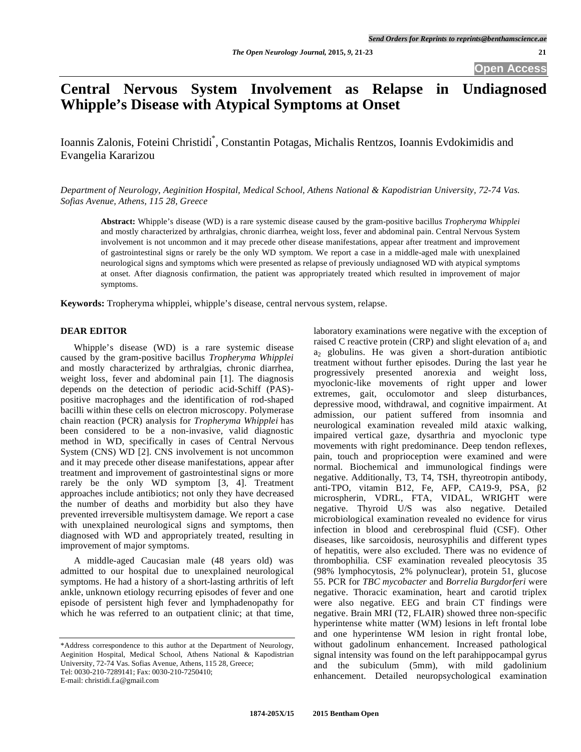# **Central Nervous System Involvement as Relapse in Undiagnosed Whipple's Disease with Atypical Symptoms at Onset**

Ioannis Zalonis, Foteini Christidi\* , Constantin Potagas, Michalis Rentzos, Ioannis Evdokimidis and Evangelia Kararizou

*Department of Neurology, Aeginition Hospital, Medical School, Athens National & Kapodistrian University, 72-74 Vas. Sofias Avenue, Athens, 115 28, Greece* 

**Abstract:** Whipple's disease (WD) is a rare systemic disease caused by the gram-positive bacillus *Tropheryma Whipplei* and mostly characterized by arthralgias, chronic diarrhea, weight loss, fever and abdominal pain. Central Nervous System involvement is not uncommon and it may precede other disease manifestations, appear after treatment and improvement of gastrointestinal signs or rarely be the only WD symptom. We report a case in a middle-aged male with unexplained neurological signs and symptoms which were presented as relapse of previously undiagnosed WD with atypical symptoms at onset. After diagnosis confirmation, the patient was appropriately treated which resulted in improvement of major symptoms.

**Keywords:** Tropheryma whipplei, whipple's disease, central nervous system, relapse.

### **DEAR EDITOR**

 Whipple's disease (WD) is a rare systemic disease caused by the gram-positive bacillus *Tropheryma Whipplei* and mostly characterized by arthralgias, chronic diarrhea, weight loss, fever and abdominal pain [1]. The diagnosis depends on the detection of periodic acid-Schiff (PAS) positive macrophages and the identification of rod-shaped bacilli within these cells on electron microscopy. Polymerase chain reaction (PCR) analysis for *Tropheryma Whipplei* has been considered to be a non-invasive, valid diagnostic method in WD, specifically in cases of Central Nervous System (CNS) WD [2]. CNS involvement is not uncommon and it may precede other disease manifestations, appear after treatment and improvement of gastrointestinal signs or more rarely be the only WD symptom [3, 4]. Treatment approaches include antibiotics; not only they have decreased the number of deaths and morbidity but also they have prevented irreversible multisystem damage. We report a case with unexplained neurological signs and symptoms, then diagnosed with WD and appropriately treated, resulting in improvement of major symptoms.

 A middle-aged Caucasian male (48 years old) was admitted to our hospital due to unexplained neurological symptoms. He had a history of a short-lasting arthritis of left ankle, unknown etiology recurring episodes of fever and one episode of persistent high fever and lymphadenopathy for which he was referred to an outpatient clinic; at that time,

\*Address correspondence to this author at the Department of Neurology, Aeginition Hospital, Medical School, Athens National & Kapodistrian University, 72-74 Vas. Sofias Avenue, Athens, 115 28, Greece; Tel: 0030-210-7289141; Fax: 0030-210-7250410; E-mail: christidi.f.a@gmail.com

laboratory examinations were negative with the exception of raised C reactive protein (CRP) and slight elevation of  $a_1$  and a2 globulins. He was given a short-duration antibiotic treatment without further episodes. During the last year he progressively presented anorexia and weight loss, myoclonic-like movements of right upper and lower extremes, gait, occulomotor and sleep disturbances, depressive mood, withdrawal, and cognitive impairment. At admission, our patient suffered from insomnia and neurological examination revealed mild ataxic walking, impaired vertical gaze, dysarthria and myoclonic type movements with right predominance. Deep tendon reflexes, pain, touch and proprioception were examined and were normal. Biochemical and immunological findings were negative. Additionally, T3, T4, TSH, thyreotropin antibody, anti-TPO, vitamin B12, Fe, AFP, CA19-9, PSA,  $\beta$ 2 microspherin, VDRL, FTA, VIDAL, WRIGHT were negative. Thyroid U/S was also negative. Detailed microbiological examination revealed no evidence for virus infection in blood and cerebrospinal fluid (CSF). Other diseases, like sarcoidosis, neurosyphilis and different types of hepatitis, were also excluded. There was no evidence of thrombophilia. CSF examination revealed pleocytosis 35 (98% lymphocytosis, 2% polynuclear), protein 51, glucose 55. PCR for *TBC mycobacter* and *Borrelia Burgdorferi* were negative. Thoracic examination, heart and carotid triplex were also negative. EEG and brain CT findings were negative. Brain MRI (T2, FLAIR) showed three non-specific hyperintense white matter (WM) lesions in left frontal lobe and one hyperintense WM lesion in right frontal lobe, without gadolinum enhancement. Increased pathological signal intensity was found on the left parahippocampal gyrus and the subiculum (5mm), with mild gadolinium enhancement. Detailed neuropsychological examination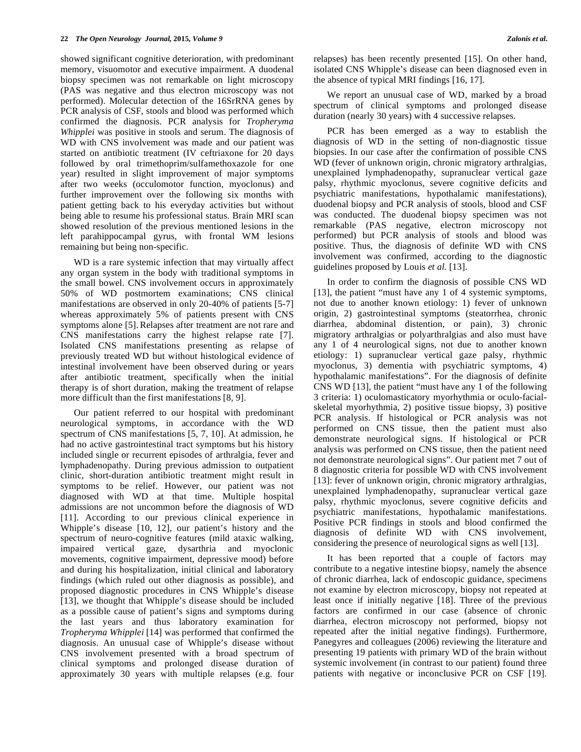showed significant cognitive deterioration, with predominant memory, visuomotor and executive impairment. A duodenal biopsy specimen was not remarkable on light microscopy (PAS was negative and thus electron microscopy was not performed). Molecular detection of the 16SrRNA genes by PCR analysis of CSF, stools and blood was performed which confirmed the diagnosis. PCR analysis for *Tropheryma Whipplei* was positive in stools and serum. The diagnosis of WD with CNS involvement was made and our patient was started on antibiotic treatment (IV ceftriaxone for 20 days followed by oral trimethoprim/sulfamethoxazole for one year) resulted in slight improvement of major symptoms after two weeks (occulomotor function, myoclonus) and further improvement over the following six months with patient getting back to his everyday activities but without being able to resume his professional status. Brain MRI scan showed resolution of the previous mentioned lesions in the left parahippocampal gyrus, with frontal WM lesions remaining but being non-specific.

 WD is a rare systemic infection that may virtually affect any organ system in the body with traditional symptoms in the small bowel. CNS involvement occurs in approximately 50% of WD postmortem examinations; CNS clinical manifestations are observed in only 20-40% of patients [5-7] whereas approximately 5% of patients present with CNS symptoms alone [5]. Relapses after treatment are not rare and CNS manifestations carry the highest relapse rate [7]. Isolated CNS manifestations presenting as relapse of previously treated WD but without histological evidence of intestinal involvement have been observed during or years after antibiotic treatment, specifically when the initial therapy is of short duration, making the treatment of relapse more difficult than the first manifestations [8, 9].

 Our patient referred to our hospital with predominant neurological symptoms, in accordance with the WD spectrum of CNS manifestations [5, 7, 10]. At admission, he had no active gastrointestinal tract symptoms but his history included single or recurrent episodes of arthralgia, fever and lymphadenopathy. During previous admission to outpatient clinic, short-duration antibiotic treatment might result in symptoms to be relief. However, our patient was not diagnosed with WD at that time. Multiple hospital admissions are not uncommon before the diagnosis of WD [11]. According to our previous clinical experience in Whipple's disease [10, 12], our patient's history and the spectrum of neuro-cognitive features (mild ataxic walking, impaired vertical gaze, dysarthria and myoclonic movements, cognitive impairment, depressive mood) before and during his hospitalization, initial clinical and laboratory findings (which ruled out other diagnosis as possible), and proposed diagnostic procedures in CNS Whipple's disease [13], we thought that Whipple's disease should be included as a possible cause of patient's signs and symptoms during the last years and thus laboratory examination for *Tropheryma Whipplei* [14] was performed that confirmed the diagnosis. An unusual case of Whipple's disease without CNS involvement presented with a broad spectrum of clinical symptoms and prolonged disease duration of approximately 30 years with multiple relapses (e.g. four

relapses) has been recently presented [15]. On other hand, isolated CNS Whipple's disease can been diagnosed even in the absence of typical MRI findings [16, 17].

 We report an unusual case of WD, marked by a broad spectrum of clinical symptoms and prolonged disease duration (nearly 30 years) with 4 successive relapses.

 PCR has been emerged as a way to establish the diagnosis of WD in the setting of non-diagnostic tissue biopsies. In our case after the confirmation of possible CNS WD (fever of unknown origin, chronic migratory arthralgias, unexplained lymphadenopathy, supranuclear vertical gaze palsy, rhythmic myoclonus, severe cognitive deficits and psychiatric manifestations, hypothalamic manifestations), duodenal biopsy and PCR analysis of stools, blood and CSF was conducted. The duodenal biopsy specimen was not remarkable (PAS negative, electron microscopy not performed) but PCR analysis of stools and blood was positive. Thus, the diagnosis of definite WD with CNS involvement was confirmed, according to the diagnostic guidelines proposed by Louis *et al.* [13].

 In order to confirm the diagnosis of possible CNS WD [13], the patient "must have any 1 of 4 systemic symptoms, not due to another known etiology: 1) fever of unknown origin, 2) gastrointestinal symptoms (steatorrhea, chronic diarrhea, abdominal distention, or pain), 3) chronic migratory arthralgias or polyarthralgias and also must have any 1 of 4 neurological signs, not due to another known etiology: 1) supranuclear vertical gaze palsy, rhythmic myoclonus, 3) dementia with psychiatric symptoms, 4) hypothalamic manifestations". For the diagnosis of definite CNS WD [13], the patient "must have any 1 of the following 3 criteria: 1) oculomasticatory myorhythmia or oculo-facialskeletal myorhythmia, 2) positive tissue biopsy, 3) positive PCR analysis. If histological or PCR analysis was not performed on CNS tissue, then the patient must also demonstrate neurological signs. If histological or PCR analysis was performed on CNS tissue, then the patient need not demonstrate neurological signs". Our patient met 7 out of 8 diagnostic criteria for possible WD with CNS involvement [13]: fever of unknown origin, chronic migratory arthralgias, unexplained lymphadenopathy, supranuclear vertical gaze palsy, rhythmic myoclonus, severe cognitive deficits and psychiatric manifestations, hypothalamic manifestations. Positive PCR findings in stools and blood confirmed the diagnosis of definite WD with CNS involvement, considering the presence of neurological signs as well [13].

 It has been reported that a couple of factors may contribute to a negative intestine biopsy, namely the absence of chronic diarrhea, lack of endoscopic guidance, specimens not examine by electron microscopy, biopsy not repeated at least once if initially negative [18]. Three of the previous factors are confirmed in our case (absence of chronic diarrhea, electron microscopy not performed, biopsy not repeated after the initial negative findings). Furthermore, Panegyres and colleagues (2006) reviewing the literature and presenting 19 patients with primary WD of the brain without systemic involvement (in contrast to our patient) found three patients with negative or inconclusive PCR on CSF [19].